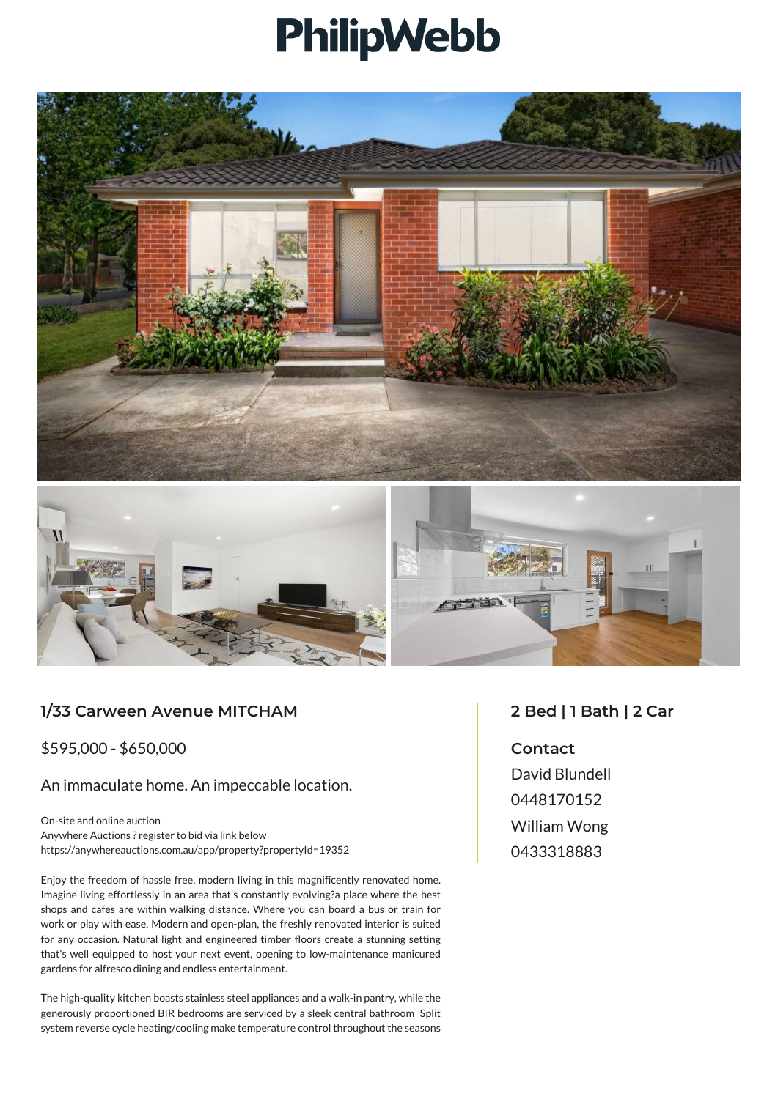## **PhilipWebb**





## **1/33 Carween Avenue MITCHAM**

\$595,000 - \$650,000

An immaculate home. An impeccable location.

On-site and online auction Anywhere Auctions ? register to bid via link below https://anywhereauctions.com.au/app/property?propertyId=19352

Enjoy the freedom of hassle free, modern living in this magnificently renovated home. Imagine living effortlessly in an area that's constantly evolving?a place where the best shops and cafes are within walking distance. Where you can board a bus or train for work or play with ease. Modern and open-plan, the freshly renovated interior is suited for any occasion. Natural light and engineered timber floors create a stunning setting that's well equipped to host your next event, opening to low-maintenance manicured gardens for alfresco dining and endless entertainment.

The high-quality kitchen boasts stainless steel appliances and a walk-in pantry, while the generously proportioned BIR bedrooms are serviced by a sleek central bathroom Split system reverse cycle heating/cooling make temperature control throughout the seasons

## **2 Bed | 1 Bath | 2 Car**

**Contact** David Blundell 0448170152 William Wong 0433318883